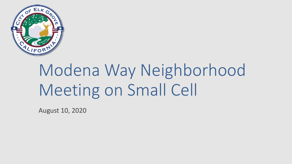

# Modena Way Neighborhood Meeting on Small Cell

August 10, 2020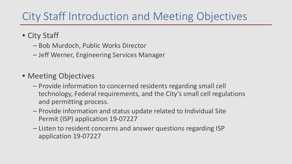### City Staff Introduction and Meeting Objectives

- City Staff
	- Bob Murdoch, Public Works Director
	- Jeff Werner, Engineering Services Manager
- Meeting Objectives
	- Provide information to concerned residents regarding small cell technology, Federal requirements, and the City's small cell regulations and permitting process.
	- Provide information and status update related to Individual Site Permit (ISP) application 19-07227
	- Listen to resident concerns and answer questions regarding ISP application 19-07227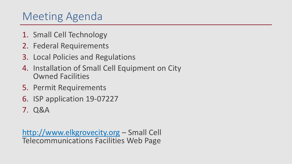### Meeting Agenda

- 1. Small Cell Technology
- 2. Federal Requirements
- 3. Local Policies and Regulations
- 4. Installation of Small Cell Equipment on City Owned Facilities
- 5. Permit Requirements
- 6. ISP application 19-07227
- 7. Q&A

[http://www.elkgrovecity.org](http://www.elkgrovecity.org/) – Small Cell Telecommunications Facilities Web Page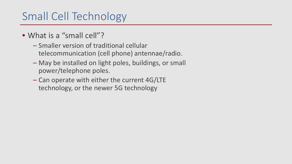## Small Cell Technology

- What is a "small cell"?
	- Smaller version of traditional cellular telecommunication (cell phone) antennae/radio.
	- May be installed on light poles, buildings, or small power/telephone poles.
	- Can operate with either the current 4G/LTE technology, or the newer 5G technology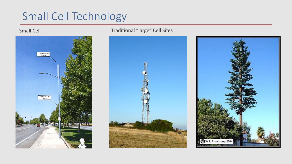## Small Cell Technology



### Small Cell **Traditional "large" Cell Sites**



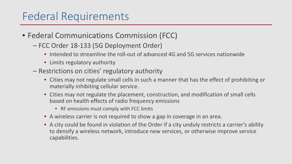### Federal Requirements

- Federal Communications Commission (FCC)
	- FCC Order 18-133 (5G Deployment Order)
		- Intended to streamline the roll-out of advanced 4G and 5G services nationwide
		- Limits regulatory authority
	- Restrictions on cities' regulatory authority
		- Cities may not regulate small cells in such a manner that has the effect of prohibiting or materially inhibiting cellular service.
		- Cities may not regulate the placement, construction, and modification of small cells based on health effects of radio frequency emissions
			- RF emissions must comply with FCC limits
		- A wireless carrier is not required to show a gap in coverage in an area.
		- A city could be found in violation of the Order if a city unduly restricts a carrier's ability to densify a wireless network, introduce new services, or otherwise improve service capabilities.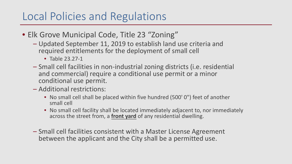### Local Policies and Regulations

- Elk Grove Municipal Code, Title 23 "Zoning"
	- Updated September 11, 2019 to establish land use criteria and required entitlements for the deployment of small cell
		- Table 23.27-1
	- Small cell facilities in non-industrial zoning districts (i.e. residential and commercial) require a conditional use permit or a minor conditional use permit.
	- Additional restrictions:
		- No small cell shall be placed within five hundred (500' 0") feet of another small cell
		- No small cell facility shall be located immediately adjacent to, nor immediately across the street from, a **front yard** of any residential dwelling.
	- Small cell facilities consistent with a Master License Agreement between the applicant and the City shall be a permitted use.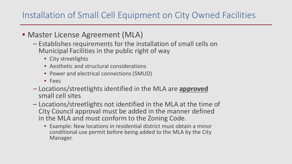### Installation of Small Cell Equipment on City Owned Facilities

- Master License Agreement (MLA)
	- Establishes requirements for the installation of small cells on Municipal Facilities in the public right of way
		- City streetlights
		- Aesthetic and structural considerations
		- Power and electrical connections (SMUD)
		- Fees
	- Locations/streetlights identified in the MLA are **approved** small cell sites
	- Locations/streetlights not identified in the MLA at the time of City Council approval must be added in the manner defined in the MLA and must conform to the Zoning Code.
		- Example: New locations in residential district must obtain a minor conditional use permit before being added to the MLA by the City Manager.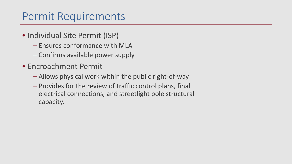### Permit Requirements

- Individual Site Permit (ISP)
	- Ensures conformance with MLA
	- Confirms available power supply
- Encroachment Permit
	- Allows physical work within the public right-of-way
	- Provides for the review of traffic control plans, final electrical connections, and streetlight pole structural capacity.